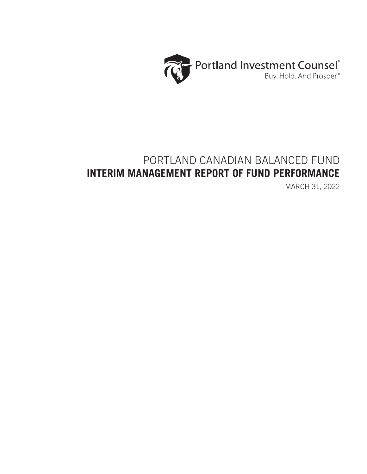

# PORTLAND CANADIAN BALANCED FUND **INTERIM MANAGEMENT REPORT OF FUND PERFORMANCE**

MARCH 31, 2022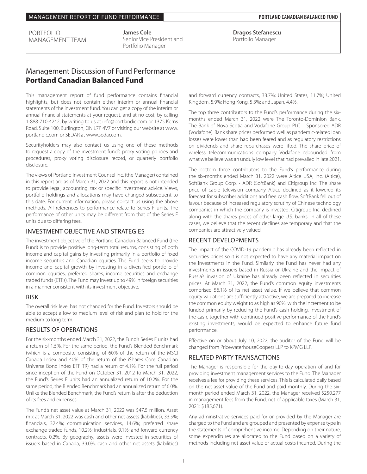PORTFOLIO MANAGEMENT TEAM **James Cole** Senior Vice President and Portfolio Manager

**Dragos Stefanescu** Portfolio Manager

# Management Discussion of Fund Performance **Portland Canadian Balanced Fund**

This management report of fund performance contains financial highlights, but does not contain either interim or annual financial statements of the investment fund. You can get a copy of the interim or annual financial statements at your request, and at no cost, by calling 1-888-710-4242, by writing to us at info@portlandic.com or 1375 Kerns Road, Suite 100, Burlington, ON L7P 4V7 or visiting our website at www. portlandic.com or SEDAR at www.sedar.com.

Securityholders may also contact us using one of these methods to request a copy of the investment fund's proxy voting policies and procedures, proxy voting disclosure record, or quarterly portfolio disclosure.

The views of Portland Investment Counsel Inc. (the Manager) contained in this report are as of March 31, 2022 and this report is not intended to provide legal, accounting, tax or specific investment advice. Views, portfolio holdings and allocations may have changed subsequent to this date. For current information, please contact us using the above methods. All references to performance relate to Series F units. The performance of other units may be different from that of the Series F units due to differing fees.

### INVESTMENT OBJECTIVE AND STRATEGIES

The investment objective of the Portland Canadian Balanced Fund (the Fund) is to provide positive long-term total returns, consisting of both income and capital gains by investing primarily in a portfolio of fixed income securities and Canadian equities. The Fund seeks to provide income and capital growth by investing in a diversified portfolio of common equities, preferred shares, income securities and exchange traded funds (ETFs). The Fund may invest up to 49% in foreign securities in a manner consistent with its investment objective.

### RISK

The overall risk level has not changed for the Fund. Investors should be able to accept a low to medium level of risk and plan to hold for the medium to long term.

### RESULTS OF OPERATIONS

For the six-months ended March 31, 2022, the Fund's Series F units had a return of 1.5%. For the same period, the Fund's Blended Benchmark (which is a composite consisting of 60% of the return of the MSCI Canada Index and 40% of the return of the iShares Core Canadian Universe Bond Index ETF TR) had a return of 4.1%. For the full period since inception of the Fund on October 31, 2012 to March 31, 2022, the Fund's Series F units had an annualized return of 10.2%. For the same period, the Blended Benchmark had an annualized return of 6.0%. Unlike the Blended Benchmark, the Fund's return is after the deduction of its fees and expenses.

The Fund's net asset value at March 31, 2022 was \$47.5 million. Asset mix at March 31, 2022 was cash and other net assets (liabilities), 33.5%; financials, 32.4%; communication services, 14.6%; preferred share exchange traded funds, 10.2%; industrials, 9.1%; and forward currency contracts, 0.2%. By geography, assets were invested in securities of issuers based in Canada, 39.0%; cash and other net assets (liabilities)

and forward currency contracts, 33.7%; United States, 11.7%; United Kingdom, 5.9%; Hong Kong, 5.3%; and Japan, 4.4%.

The top three contributors to the Fund's performance during the sixmonths ended March 31, 2022 were The Toronto-Dominion Bank, The Bank of Nova Scotia and Vodafone Group PLC – Sponsored ADR (Vodafone). Bank share prices performed well as pandemic-related loan losses were lower than had been feared and as regulatory restrictions on dividends and share repurchases were lifted. The share price of wireless telecommunications company Vodafone rebounded from what we believe was an unduly low level that had prevailed in late 2021.

The bottom three contributors to the Fund's performance during the six-months ended March 31, 2022 were Altice USA, Inc. (Altice), SoftBank Group Corp. - ADR (SoftBank) and Citigroup Inc. The share price of cable television company Altice declined as it lowered its forecast for subscriber additions and free cash flow. SoftBank fell out of favour because of increased regulatory scrutiny of Chinese technology companies in which the company is invested. Citigroup Inc. declined along with the shares prices of other large U.S. banks. In all of these cases, we believe that the recent declines are temporary and that the companies are attractively valued.

### RECENT DEVELOPMENTS

The impact of the COVID-19 pandemic has already been reflected in securities prices so it is not expected to have any material impact on the investments in the Fund. Similarly, the Fund has never had any investments in issuers based in Russia or Ukraine and the impact of Russia's invasion of Ukraine has already been reflected in securities prices. At March 31, 2022, the Fund's common equity investments comprised 56.1% of its net asset value. If we believe that common equity valuations are sufficiently attractive, we are prepared to increase the common equity weight to as high as 90%, with the increment to be funded primarily by reducing the Fund's cash holding. Investment of the cash, together with continued positive performance of the Fund's existing investments, would be expected to enhance future fund performance.

Effective on or about July 10, 2022, the auditor of the Fund will be changed from PricewaterhouseCoopers LLP to KPMG LLP.

### RELATED PARTY TRANSACTIONS

The Manager is responsible for the day-to-day operation of and for providing investment management services to the Fund. The Manager receives a fee for providing these services. This is calculated daily based on the net asset value of the Fund and paid monthly. During the sixmonth period ended March 31, 2022, the Manager received \$250,277 in management fees from the Fund, net of applicable taxes (March 31, 2021: \$185,671).

Any administrative services paid for or provided by the Manager are charged to the Fund and are grouped and presented by expense type in the statements of comprehensive income. Depending on their nature, some expenditures are allocated to the Fund based on a variety of methods including net asset value or actual costs incurred. During the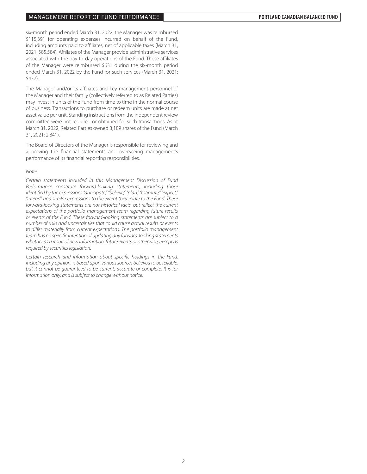six-month period ended March 31, 2022, the Manager was reimbursed \$115,391 for operating expenses incurred on behalf of the Fund, including amounts paid to affiliates, net of applicable taxes (March 31, 2021: \$85,584). Affiliates of the Manager provide administrative services associated with the day-to-day operations of the Fund. These affiliates of the Manager were reimbursed \$631 during the six-month period ended March 31, 2022 by the Fund for such services (March 31, 2021: \$477).

The Manager and/or its affiliates and key management personnel of the Manager and their family (collectively referred to as Related Parties) may invest in units of the Fund from time to time in the normal course of business. Transactions to purchase or redeem units are made at net asset value per unit. Standing instructions from the independent review committee were not required or obtained for such transactions. As at March 31, 2022, Related Parties owned 3,189 shares of the Fund (March 31, 2021: 2,841).

The Board of Directors of the Manager is responsible for reviewing and approving the financial statements and overseeing management's performance of its financial reporting responsibilities.

### *Notes*

*Certain statements included in this Management Discussion of Fund Performance constitute forward-looking statements, including those identified by the expressions "anticipate," "believe," "plan," "estimate," "expect," "intend" and similar expressions to the extent they relate to the Fund. These forward-looking statements are not historical facts, but reflect the current expectations of the portfolio management team regarding future results or events of the Fund. These forward-looking statements are subject to a number of risks and uncertainties that could cause actual results or events to differ materially from current expectations. The portfolio management team has no specific intention of updating any forward-looking statements whether as a result of new information, future events or otherwise, except as required by securities legislation.*

*Certain research and information about specific holdings in the Fund, including any opinion, is based upon various sources believed to be reliable, but it cannot be guaranteed to be current, accurate or complete. It is for information only, and is subject to change without notice.*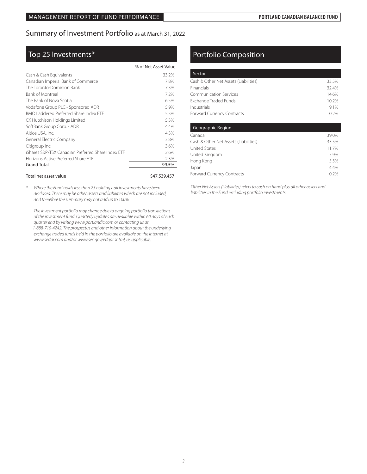# Summary of Investment Portfolio as at March 31, 2022

# Top 25 Investments\*

|                                                    | % of Net Asset Value |
|----------------------------------------------------|----------------------|
| Cash & Cash Equivalents                            | 33.2%                |
| Canadian Imperial Bank of Commerce                 | 7.8%                 |
| The Toronto-Dominion Bank                          | 7.3%                 |
| <b>Bank of Montreal</b>                            | 7.2%                 |
| The Bank of Nova Scotia                            | 6.5%                 |
| Vodafone Group PLC - Sponsored ADR                 | 5.9%                 |
| BMO Laddered Preferred Share Index FTF             | 5.3%                 |
| CK Hutchison Holdings Limited                      | 5.3%                 |
| SoftBank Group Corp. - ADR                         | 4.4%                 |
| Altice USA, Inc.                                   | 4.3%                 |
| General Electric Company                           | 3.8%                 |
| Citigroup Inc.                                     | 3.6%                 |
| iShares S&P/TSX Canadian Preferred Share Index FTF | 2.6%                 |
| Horizons Active Preferred Share FTF                | 2.3%                 |
| <b>Grand Total</b>                                 | 99.5%                |
|                                                    |                      |

### Total net asset value  $$47,539,457$

*\* Where the Fund holds less than 25 holdings, all investments have been disclosed. There may be other assets and liabilities which are not included, and therefore the summary may not add up to 100%.*

*The investment portfolio may change due to ongoing portfolio transactions of the investment fund. Quarterly updates are available within 60 days of each quarter end by visiting www.portlandic.com or contacting us at 1-888-710-4242. The prospectus and other information about the underlying exchange traded funds held in the portfolio are available on the internet at www.sedar.com and/or www.sec.gov/edgar.shtml, as applicable.*

# Portfolio Composition

| Sector                                |       |
|---------------------------------------|-------|
| Cash & Other Net Assets (Liabilities) | 33.5% |
| Financials                            | 32.4% |
| Communication Services                | 14.6% |
| Exchange Traded Funds                 | 10.2% |
| Industrials                           | 91%   |
| Forward Currency Contracts            | 0.2%  |
|                                       |       |

| Geographic Region                     |       |
|---------------------------------------|-------|
| Canada                                | 39.0% |
| Cash & Other Net Assets (Liabilities) | 33.5% |
| <b>United States</b>                  | 11.7% |
| United Kingdom                        | 5.9%  |
| Hong Kong                             | 5.3%  |
| Japan                                 | 4.4%  |
| Forward Currency Contracts            | 0.2%  |

 *Other Net Assets (Liabilities) refers to cash on hand plus all other assets and liabilities in the Fund excluding portfolio investments.*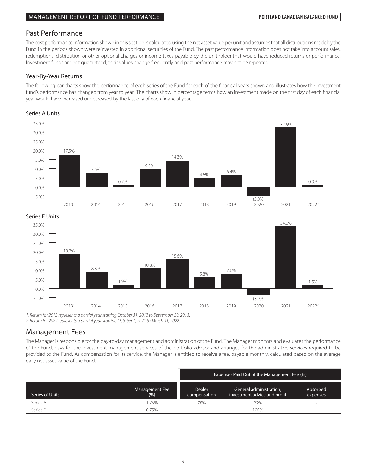# Past Performance

The past performance information shown in this section is calculated using the net asset value per unit and assumes that all distributions made by the Fund in the periods shown were reinvested in additional securities of the Fund. The past performance information does not take into account sales, redemptions, distribution or other optional charges or income taxes payable by the unitholder that would have reduced returns or performance. Investment funds are not guaranteed, their values change frequently and past performance may not be repeated.

# Year-By-Year Returns<br>—

The following bar charts show the performance of each series of the Fund for each of the financial years shown and illustrates how the investment fund's performance has changed from year to year. The charts show in percentage terms how an investment made on the first day of each financial proportional control in a change of the first day of each financial proportion rands performance has enarged notifieed to year. The enargs show in percent<br>year would have increased or decreased by the last day of each financial year.

#### Series A Units Series A





*1. Return for 2013 represents a partial year starting October 31, 2012 to September 30, 2013.* 0.0% *2. Return for 2022 represents a partial year starting October 1, 2021 to March 31, 2022.*

### Management Fees 20131 2014 2015 2016

The Manager is responsible for the day-to-day management and administration of the Fund. The Manager monitors and evaluates the performance of the Fund, pays for the investment management services of the portfolio advisor and arranges for the administrative services required to be provided to the Fund. As compensation for its service, the Manager is entitled to receive a fee, payable monthly, calculated based on the average daily net asset value of the Fund.

|                 |                        | Expenses Paid Out of the Management Fee (%) |                                                         |                      |  |  |
|-----------------|------------------------|---------------------------------------------|---------------------------------------------------------|----------------------|--|--|
| Series of Units | Management Fee<br>(% ) | <b>Dealer</b><br>compensation               | General administration,<br>investment advice and profit | Absorbed<br>expenses |  |  |
| Series A        | 1.75%                  | 78%                                         | 22%                                                     |                      |  |  |
| Series F        | 0.75%                  | $\sim$                                      | 100%                                                    | <b>Section</b>       |  |  |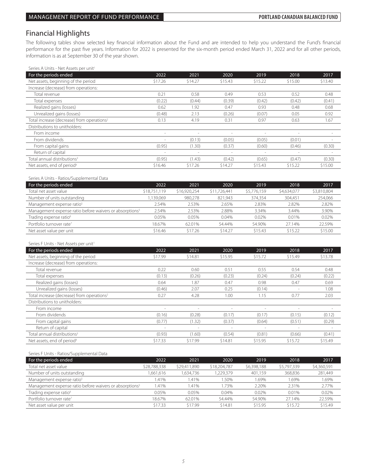# Financial Highlights

The following tables show selected key financial information about the Fund and are intended to help you understand the Fund's financial performance for the past five years. Information for 2022 is presented for the six-month period ended March 31, 2022 and for all other periods, information is as at September 30 of the year shown.

| Series A Units - Net Assets per unit <sup>1</sup>      |                          |                          |                          |                          |                          |         |
|--------------------------------------------------------|--------------------------|--------------------------|--------------------------|--------------------------|--------------------------|---------|
| For the periods ended                                  | 2022                     | 2021                     | 2020                     | 2019                     | 2018                     | 2017    |
| Net assets, beginning of the period                    | \$17.26                  | \$14.27                  | \$15.43                  | \$15.22                  | \$15.00                  | \$13.40 |
| Increase (decrease) from operations:                   |                          |                          |                          |                          |                          |         |
| Total revenue                                          | 0.21                     | 0.58                     | 0.49                     | 0.53                     | 0.52                     | 0.48    |
| Total expenses                                         | (0.22)                   | (0.44)                   | (0.39)                   | (0.42)                   | (0.42)                   | (0.41)  |
| Realized gains (losses)                                | 0.62                     | 1.92                     | 0.47                     | 0.93                     | 0.48                     | 0.68    |
| Unrealized gains (losses)                              | (0.48)                   | 2.13                     | (0.26)                   | (0.07)                   | 0.05                     | 0.92    |
| Total increase (decrease) from operations <sup>2</sup> | 0.13                     | 4.19                     | 0.31                     | 0.97                     | 0.63                     | 1.67    |
| Distributions to unitholders:                          |                          |                          |                          |                          |                          |         |
| From income                                            | $\sim$                   | $\overline{\phantom{a}}$ | $\overline{\phantom{a}}$ | $\overline{\phantom{a}}$ | $\overline{\phantom{a}}$ |         |
| From dividends                                         |                          | (0.13)                   | (0.05)                   | (0.05)                   | (0.01)                   |         |
| From capital gains                                     | (0.95)                   | (1.30)                   | (0.37)                   | (0.60)                   | (0.46)                   | (0.30)  |
| Return of capital                                      | $\overline{\phantom{a}}$ | $\overline{\phantom{a}}$ | $\sim$                   | $\sim$                   | $\sim$                   | $\sim$  |
| Total annual distributions <sup>3</sup>                | (0.95)                   | (1.43)                   | (0.42)                   | (0.65)                   | (0.47)                   | (0.30)  |
| Net assets, end of period <sup>4</sup>                 | \$16.46                  | \$17.26                  | \$14.27                  | \$15.43                  | \$15.22                  | \$15.00 |

#### Series A Units - Ratios/Supplemental Data

| For the periods ended                                               | 2022         | 2021         | 2020         | 2019        | 2018        | 2017        |
|---------------------------------------------------------------------|--------------|--------------|--------------|-------------|-------------|-------------|
| Total net asset value                                               | \$18,751,119 | \$16,920,254 | \$11,726,441 | \$5,776,159 | \$4,634,077 | \$3,810,804 |
| Number of units outstanding                                         | .139.069     | 980.278      | 821.943      | 374.354     | 304,451     | 254,066     |
| Management expense ratio <sup>5</sup>                               | 2.54%        | 2.53%        | 2.65%        | 2.83%       | 2.82%       | 2.82%       |
| Management expense ratio before waivers or absorptions <sup>5</sup> | 2.54%        | 2.53%        | 2.88%        | 3.34%       | 3.44%       | 3.90%       |
| Trading expense ratio <sup>6</sup>                                  | 0.05%        | 0.05%        | 0.04%        | 0.02%       | 0.01%       | 0.02%       |
| Portfolio turnover rate <sup>7</sup>                                | 18.67%       | 62.01%       | 54.44%       | 54.90%      | 27.14%      | 22.59%      |
| Net asset value per unit                                            | \$16.46      | \$17.26      | \$14.27      | \$15.43     | \$15.22     | \$15.00     |

#### Series F Units - Net Assets per unit<sup>1</sup>

| For the periods ended                                  | 2022                         | 2021                     | 2020                     | 2019    | 2018    | 2017    |
|--------------------------------------------------------|------------------------------|--------------------------|--------------------------|---------|---------|---------|
| Net assets, beginning of the period                    | \$17.99                      | \$14.81                  | \$15.95                  | \$15.72 | \$15.49 | \$13.78 |
| Increase (decrease) from operations:                   |                              |                          |                          |         |         |         |
| Total revenue                                          | 0.22                         | 0.60                     | 0.51                     | 0.55    | 0.54    | 0.48    |
| Total expenses                                         | (0.13)                       | (0.26)                   | (0.23)                   | (0.24)  | (0.24)  | (0.22)  |
| Realized gains (losses)                                | 0.64                         | 1.87                     | 0.47                     | 0.98    | 0.47    | 0.69    |
| Unrealized gains (losses)                              | (0.46)                       | 2.07                     | 0.25                     | (0.14)  |         | 1.08    |
| Total increase (decrease) from operations <sup>2</sup> | 0.27                         | 4.28                     | 1.00                     | 1.15    | 0.77    | 2.03    |
| Distributions to unitholders:                          |                              |                          |                          |         |         |         |
| From income                                            | $\qquad \qquad \blacksquare$ | $\overline{\phantom{a}}$ | $\overline{\phantom{a}}$ | $\sim$  | -       |         |
| From dividends                                         | (0.16)                       | (0.28)                   | (0.17)                   | (0.17)  | (0.15)  | (0.12)  |
| From capital gains                                     | (0.77)                       | (1.32)                   | (0.37)                   | (0.64)  | (0.51)  | (0.29)  |
| Return of capital                                      | $\overline{\phantom{a}}$     | $\sim$                   | $\sim$                   |         |         | $\sim$  |
| Total annual distributions <sup>3</sup>                | (0.93)                       | (1.60)                   | (0.54)                   | (0.81)  | (0.66)  | (0.41)  |
| Net assets, end of period <sup>4</sup>                 | \$17.33                      | \$17.99                  | \$14.81                  | \$15.95 | \$15.72 | \$15.49 |

### Series F Units - Ratios/Supplemental Data

| For the periods ended                                               | 2022         | 2021         | 2020         | 2019        | 2018        | 2017        |
|---------------------------------------------------------------------|--------------|--------------|--------------|-------------|-------------|-------------|
| Total net asset value                                               | \$28,788,338 | \$29,411,890 | \$18,204,787 | \$6,398,188 | \$5,797,339 | \$4,360,591 |
| Number of units outstanding                                         | .661.616     | 1.634.736    | .229.379     | 401.159     | 368.836     | 281,449     |
| Management expense ratio <sup>5</sup>                               | .41%         | .41%         | .50%         | .69%        | .69%        | .69%        |
| Management expense ratio before waivers or absorptions <sup>5</sup> | .41%         | .41%         | .73%         | 2.20%       | 2.31%       | 2.77%       |
| Trading expense ratio <sup>6</sup>                                  | 0.05%        | 0.05%        | 0.04%        | 0.02%       | 0.01%       | 0.02%       |
| Portfolio turnover rate <sup>7</sup>                                | 18.67%       | 62.01%       | 54.44%       | 54.90%      | 27.14%      | 22.59%      |
| Net asset value per unit                                            | \$17.33      | \$17.99      | \$14.81      | \$15.95     | \$15.72     | \$15.49     |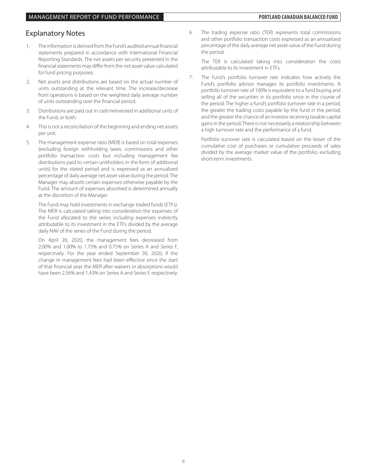# Explanatory Notes

- 1. The information is derived from the Fund's audited annual financial statements prepared in accordance with International Financial Reporting Standards. The net assets per security presented in the financial statements may differ from the net asset value calculated for fund pricing purposes.
- 2. Net assets and distributions are based on the actual number of units outstanding at the relevant time. The increase/decrease from operations is based on the weighted daily average number of units outstanding over the financial period.
- 3. Distributions are paid out in cash/reinvested in additional units of the Fund, or both.
- 4. This is not a reconciliation of the beginning and ending net assets per unit.
- 5. The management expense ratio (MER) is based on total expenses (excluding foreign withholding taxes, commissions and other portfolio transaction costs but including management fee distributions paid to certain unitholders in the form of additional units) for the stated period and is expressed as an annualized percentage of daily average net asset value during the period. The Manager may absorb certain expenses otherwise payable by the Fund. The amount of expenses absorbed is determined annually at the discretion of the Manager.

 The Fund may hold investments in exchange traded funds (ETFs). The MER is calculated taking into consideration the expenses of the Fund allocated to the series including expenses indirectly attributable to its investment in the ETFs divided by the average daily NAV of the series of the Fund during the period.

 On April 20, 2020, the management fees decreased from 2.00% and 1.00% to 1.75% and 0.75% on Series A and Series F, respectively. For the year ended September 30, 2020, if the change in management fees had been effective since the start of that financial year, the MER after waivers or absorptions would have been 2.56% and 1.43% on Series A and Series F, respectively.

6. The trading expense ratio (TER) represents total commissions and other portfolio transaction costs expressed as an annualized percentage of the daily average net asset value of the Fund during the period.

 The TER is calculated taking into consideration the costs attributable to its investment in ETFs.

7. The Fund's portfolio turnover rate indicates how actively the Fund's portfolio advisor manages its portfolio investments. A portfolio turnover rate of 100% is equivalent to a fund buying and selling all of the securities in its portfolio once in the course of the period. The higher a fund's portfolio turnover rate in a period, the greater the trading costs payable by the fund in the period, and the greater the chance of an investor receiving taxable capital gains in the period. There is not necessarily a relationship between a high turnover rate and the performance of a fund.

 Portfolio turnover rate is calculated based on the lesser of the cumulative cost of purchases or cumulative proceeds of sales divided by the average market value of the portfolio, excluding short-term investments.